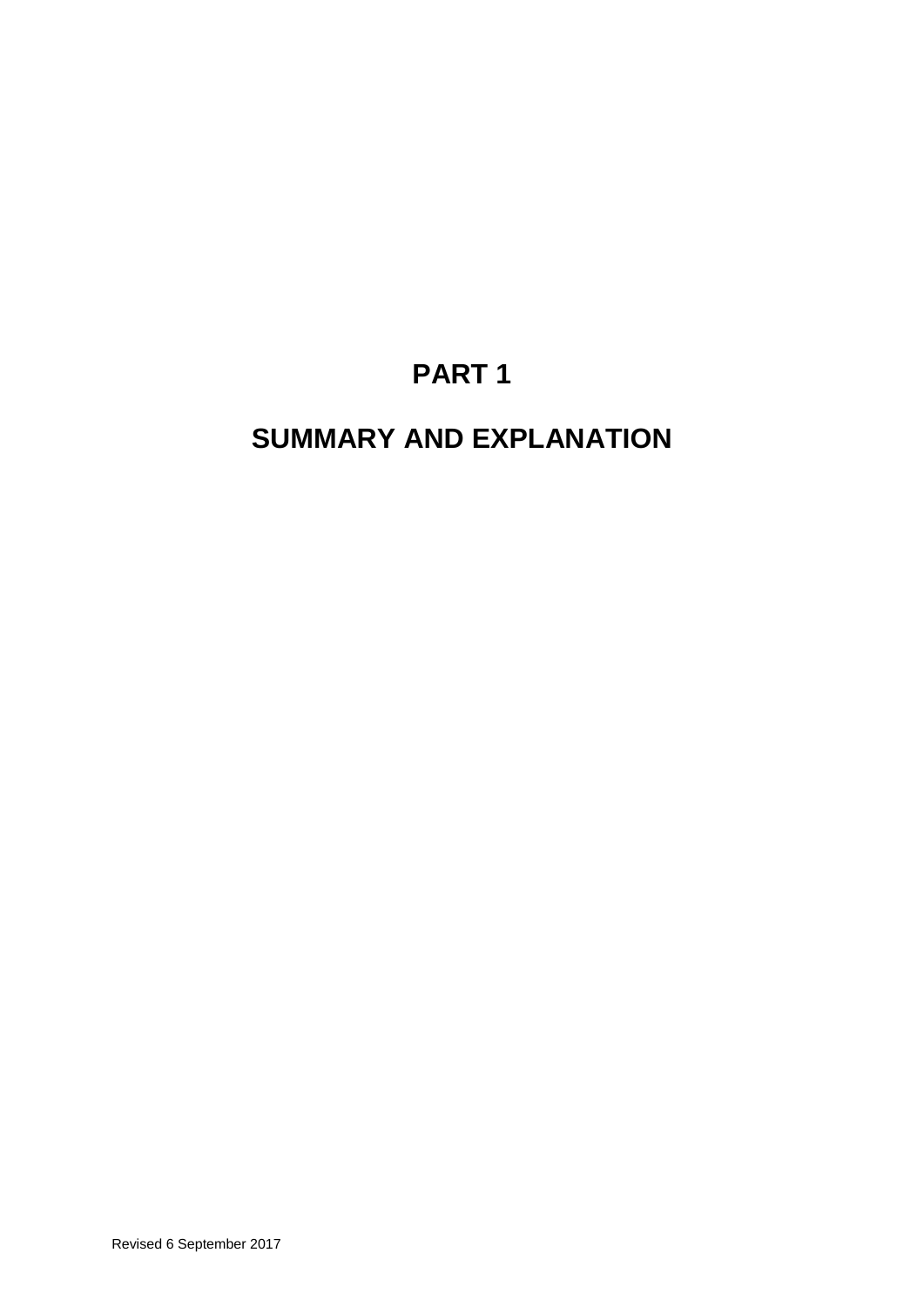# **PART 1**

## **SUMMARY AND EXPLANATION**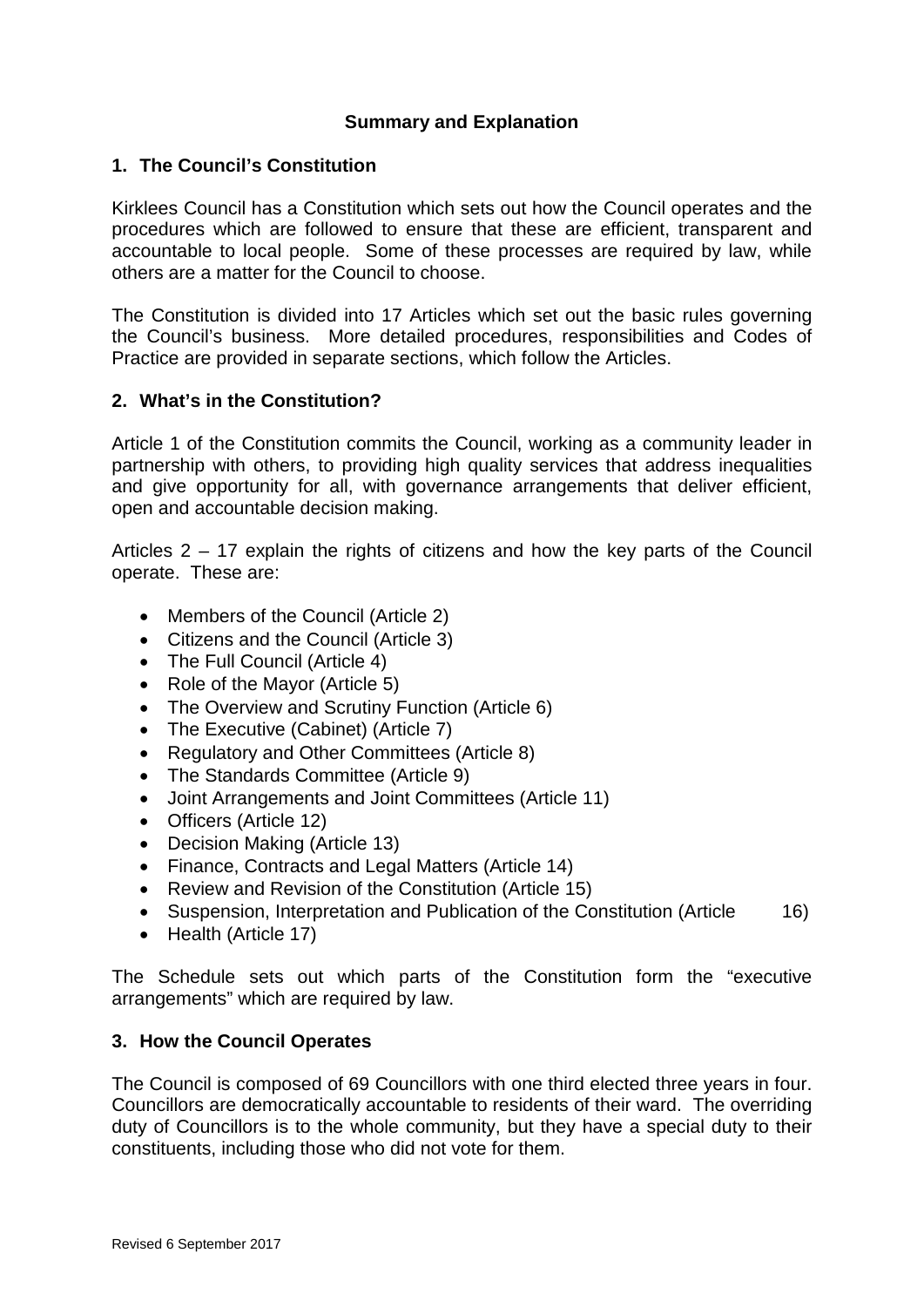## **Summary and Explanation**

### **1. The Council's Constitution**

Kirklees Council has a Constitution which sets out how the Council operates and the procedures which are followed to ensure that these are efficient, transparent and accountable to local people. Some of these processes are required by law, while others are a matter for the Council to choose.

The Constitution is divided into 17 Articles which set out the basic rules governing the Council's business. More detailed procedures, responsibilities and Codes of Practice are provided in separate sections, which follow the Articles.

## **2. What's in the Constitution?**

Article 1 of the Constitution commits the Council, working as a community leader in partnership with others, to providing high quality services that address inequalities and give opportunity for all, with governance arrangements that deliver efficient, open and accountable decision making.

Articles 2 – 17 explain the rights of citizens and how the key parts of the Council operate. These are:

- Members of the Council (Article 2)
- Citizens and the Council (Article 3)
- The Full Council (Article 4)
- Role of the Mayor (Article 5)
- The Overview and Scrutiny Function (Article 6)
- The Executive (Cabinet) (Article 7)
- Regulatory and Other Committees (Article 8)
- The Standards Committee (Article 9)
- Joint Arrangements and Joint Committees (Article 11)
- Officers (Article 12)
- Decision Making (Article 13)
- Finance, Contracts and Legal Matters (Article 14)
- Review and Revision of the Constitution (Article 15)
- Suspension, Interpretation and Publication of the Constitution (Article 16)
- Health (Article 17)

The Schedule sets out which parts of the Constitution form the "executive arrangements" which are required by law.

#### **3. How the Council Operates**

The Council is composed of 69 Councillors with one third elected three years in four. Councillors are democratically accountable to residents of their ward. The overriding duty of Councillors is to the whole community, but they have a special duty to their constituents, including those who did not vote for them.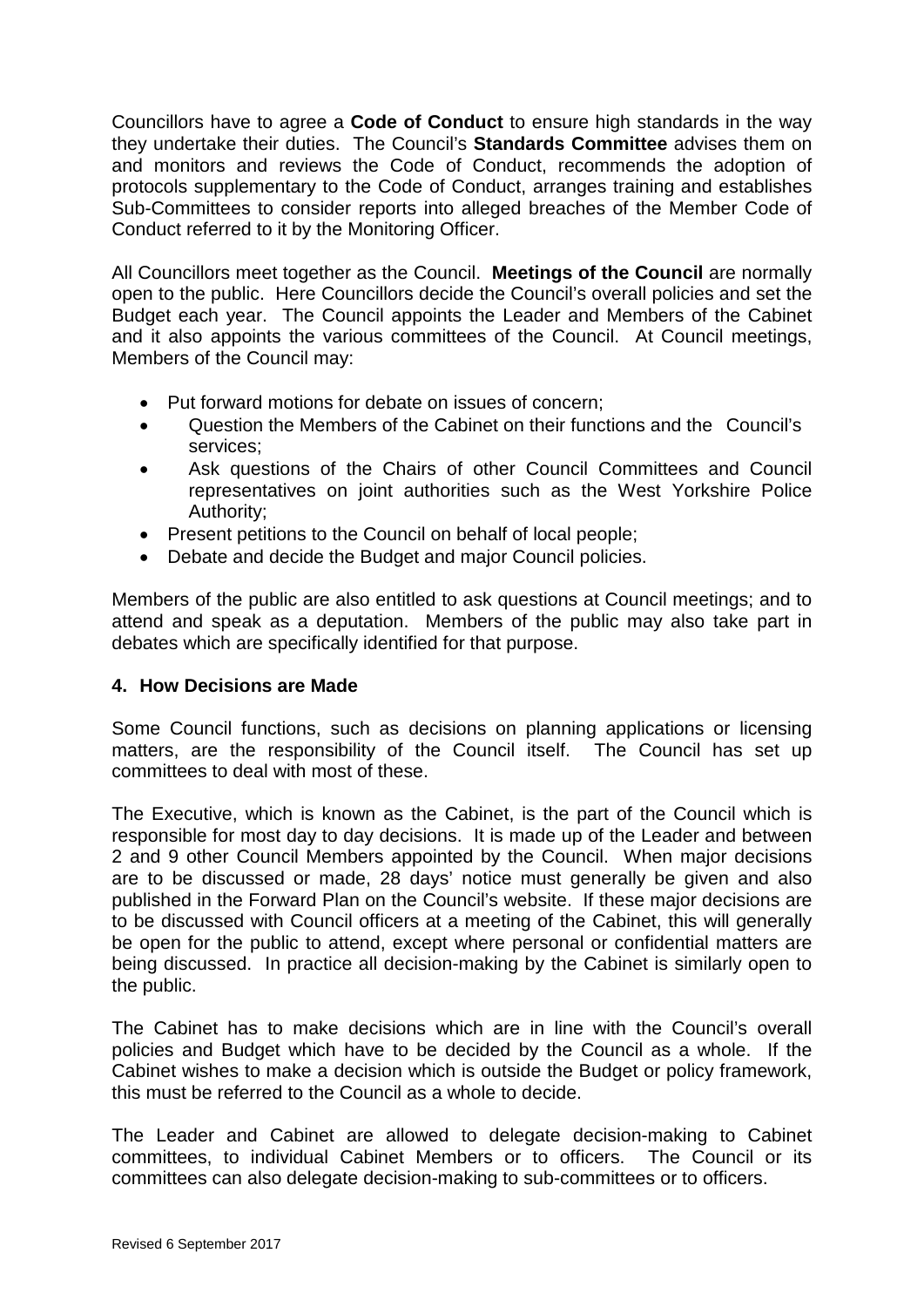Councillors have to agree a **Code of Conduct** to ensure high standards in the way they undertake their duties. The Council's **Standards Committee** advises them on and monitors and reviews the Code of Conduct, recommends the adoption of protocols supplementary to the Code of Conduct, arranges training and establishes Sub-Committees to consider reports into alleged breaches of the Member Code of Conduct referred to it by the Monitoring Officer.

All Councillors meet together as the Council. **Meetings of the Council** are normally open to the public. Here Councillors decide the Council's overall policies and set the Budget each year. The Council appoints the Leader and Members of the Cabinet and it also appoints the various committees of the Council. At Council meetings, Members of the Council may:

- Put forward motions for debate on issues of concern;
- Question the Members of the Cabinet on their functions and the Council's services;
- Ask questions of the Chairs of other Council Committees and Council representatives on joint authorities such as the West Yorkshire Police Authority;
- Present petitions to the Council on behalf of local people;
- Debate and decide the Budget and major Council policies.

Members of the public are also entitled to ask questions at Council meetings; and to attend and speak as a deputation. Members of the public may also take part in debates which are specifically identified for that purpose.

## **4. How Decisions are Made**

Some Council functions, such as decisions on planning applications or licensing matters, are the responsibility of the Council itself. The Council has set up committees to deal with most of these.

The Executive, which is known as the Cabinet, is the part of the Council which is responsible for most day to day decisions. It is made up of the Leader and between 2 and 9 other Council Members appointed by the Council. When major decisions are to be discussed or made, 28 days' notice must generally be given and also published in the Forward Plan on the Council's website. If these major decisions are to be discussed with Council officers at a meeting of the Cabinet, this will generally be open for the public to attend, except where personal or confidential matters are being discussed. In practice all decision-making by the Cabinet is similarly open to the public.

The Cabinet has to make decisions which are in line with the Council's overall policies and Budget which have to be decided by the Council as a whole. If the Cabinet wishes to make a decision which is outside the Budget or policy framework, this must be referred to the Council as a whole to decide.

The Leader and Cabinet are allowed to delegate decision-making to Cabinet committees, to individual Cabinet Members or to officers. The Council or its committees can also delegate decision-making to sub-committees or to officers.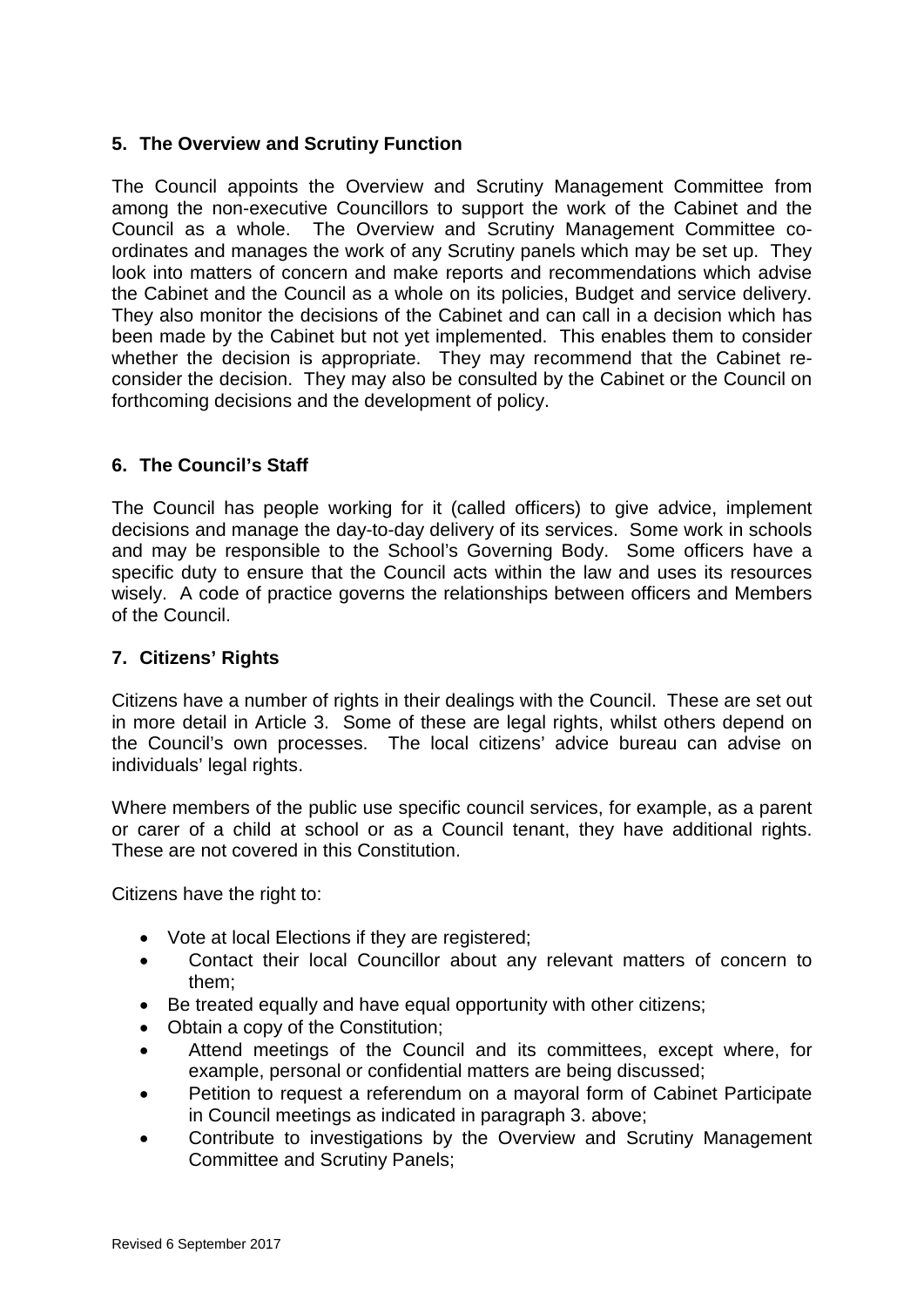## **5. The Overview and Scrutiny Function**

The Council appoints the Overview and Scrutiny Management Committee from among the non-executive Councillors to support the work of the Cabinet and the Council as a whole. The Overview and Scrutiny Management Committee coordinates and manages the work of any Scrutiny panels which may be set up. They look into matters of concern and make reports and recommendations which advise the Cabinet and the Council as a whole on its policies, Budget and service delivery. They also monitor the decisions of the Cabinet and can call in a decision which has been made by the Cabinet but not yet implemented. This enables them to consider whether the decision is appropriate. They may recommend that the Cabinet reconsider the decision. They may also be consulted by the Cabinet or the Council on forthcoming decisions and the development of policy.

## **6. The Council's Staff**

The Council has people working for it (called officers) to give advice, implement decisions and manage the day-to-day delivery of its services. Some work in schools and may be responsible to the School's Governing Body. Some officers have a specific duty to ensure that the Council acts within the law and uses its resources wisely. A code of practice governs the relationships between officers and Members of the Council.

## **7. Citizens' Rights**

Citizens have a number of rights in their dealings with the Council. These are set out in more detail in Article 3. Some of these are legal rights, whilst others depend on the Council's own processes. The local citizens' advice bureau can advise on individuals' legal rights.

Where members of the public use specific council services, for example, as a parent or carer of a child at school or as a Council tenant, they have additional rights. These are not covered in this Constitution.

Citizens have the right to:

- Vote at local Elections if they are registered;
- Contact their local Councillor about any relevant matters of concern to them;
- Be treated equally and have equal opportunity with other citizens;
- Obtain a copy of the Constitution;
- Attend meetings of the Council and its committees, except where, for example, personal or confidential matters are being discussed;
- Petition to request a referendum on a mayoral form of Cabinet Participate in Council meetings as indicated in paragraph 3. above;
- Contribute to investigations by the Overview and Scrutiny Management Committee and Scrutiny Panels;